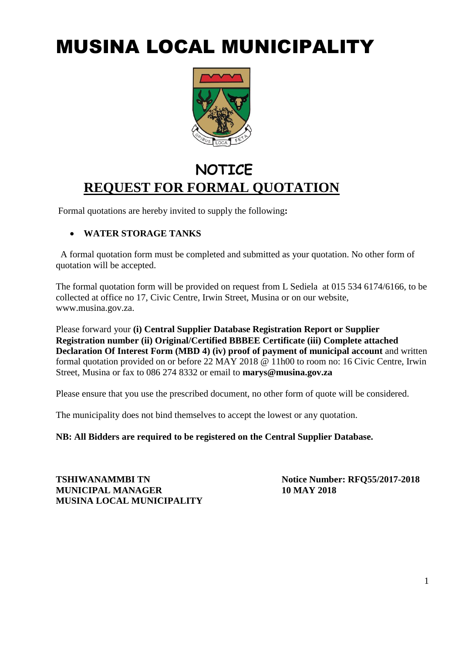# MUSINA LOCAL MUNICIPALITY



## **NOTICE REQUEST FOR FORMAL QUOTATION**

Formal quotations are hereby invited to supply the following**:** 

#### **WATER STORAGE TANKS**

A formal quotation form must be completed and submitted as your quotation. No other form of quotation will be accepted.

The formal quotation form will be provided on request from L Sediela at 015 534 6174/6166, to be collected at office no 17, Civic Centre, Irwin Street, Musina or on our website, www.musina.gov.za.

Please forward your **(i) Central Supplier Database Registration Report or Supplier Registration number (ii) Original/Certified BBBEE Certificate (iii) Complete attached Declaration Of Interest Form (MBD 4) (iv) proof of payment of municipal account** and written formal quotation provided on or before 22 MAY 2018 @ 11h00 to room no: 16 Civic Centre, Irwin Street, Musina or fax to 086 274 8332 or email to **marys@musina.gov.za**

Please ensure that you use the prescribed document, no other form of quote will be considered.

The municipality does not bind themselves to accept the lowest or any quotation.

**NB: All Bidders are required to be registered on the Central Supplier Database.**

**TSHIWANAMMBI TN Notice Number: RFQ55/2017-2018 MUNICIPAL MANAGER 10 MAY 2018 MUSINA LOCAL MUNICIPALITY**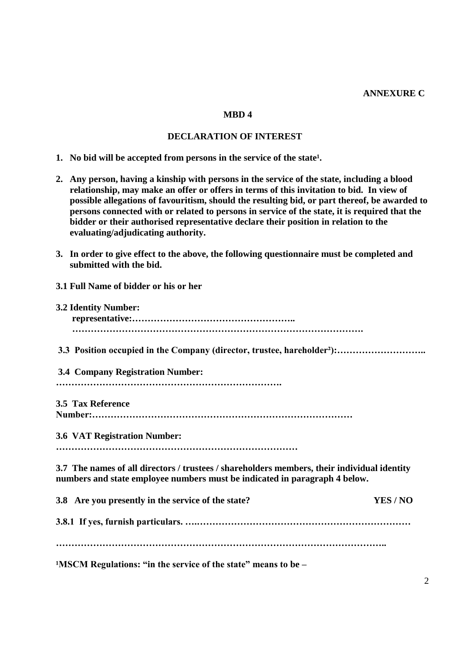#### **ANNEXURE C**

#### **MBD 4**

#### **DECLARATION OF INTEREST**

**1.** No bid will be accepted from persons in the service of the state<sup>1</sup>.

**3.1 Full Name of bidder or his or her** 

- **2. Any person, having a kinship with persons in the service of the state, including a blood relationship, may make an offer or offers in terms of this invitation to bid. In view of possible allegations of favouritism, should the resulting bid, or part thereof, be awarded to persons connected with or related to persons in service of the state, it is required that the bidder or their authorised representative declare their position in relation to the evaluating/adjudicating authority.**
- **3. In order to give effect to the above, the following questionnaire must be completed and submitted with the bid.**
- **3.2 Identity Number: representative:…………………………………………….. …………………………………………………………………………………. 3.3 Position occupied in the Company (director, trustee, hareholder²):……………………….. 3.4 Company Registration Number: ………………………………………………………………. 3.5 Tax Reference Number:………………………………………………………………………… 3.6 VAT Registration Number: …………………………………………………………………… 3.7 The names of all directors / trustees / shareholders members, their individual identity numbers and state employee numbers must be indicated in paragraph 4 below. 3.8 Are you presently in the service of the state? YES / NO 3.8.1 If yes, furnish particulars. ….…………………………………………………………… ……………………………………………………………………………………………..** <sup>1</sup>MSCM Regulations: "in the service of the state" means to be –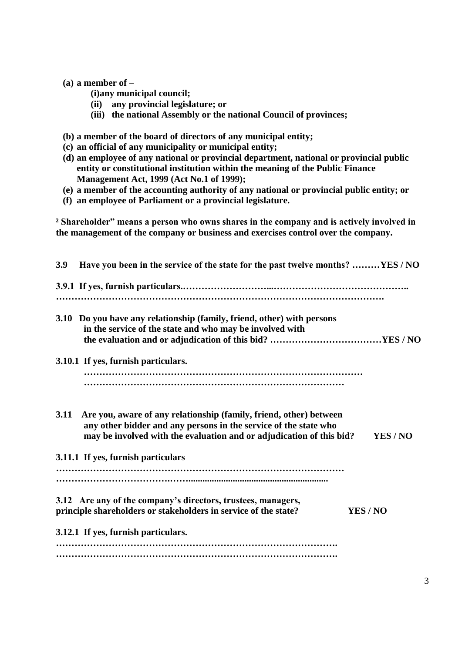#### **(a) a member of –**

- **(i)any municipal council;**
- **(ii) any provincial legislature; or**
- **(iii) the national Assembly or the national Council of provinces;**
- **(b) a member of the board of directors of any municipal entity;**
- **(c) an official of any municipality or municipal entity;**
- **(d) an employee of any national or provincial department, national or provincial public entity or constitutional institution within the meaning of the Public Finance Management Act, 1999 (Act No.1 of 1999);**
- **(e) a member of the accounting authority of any national or provincial public entity; or**
- **(f) an employee of Parliament or a provincial legislature.**

**² Shareholder" means a person who owns shares in the company and is actively involved in the management of the company or business and exercises control over the company.**

| Have you been in the service of the state for the past twelve months? YES/NO<br>3.9 |                                                                                                                                                                                                                          |  |  |  |  |
|-------------------------------------------------------------------------------------|--------------------------------------------------------------------------------------------------------------------------------------------------------------------------------------------------------------------------|--|--|--|--|
|                                                                                     |                                                                                                                                                                                                                          |  |  |  |  |
|                                                                                     | 3.10 Do you have any relationship (family, friend, other) with persons<br>in the service of the state and who may be involved with                                                                                       |  |  |  |  |
|                                                                                     |                                                                                                                                                                                                                          |  |  |  |  |
|                                                                                     | 3.10.1 If yes, furnish particulars.                                                                                                                                                                                      |  |  |  |  |
|                                                                                     |                                                                                                                                                                                                                          |  |  |  |  |
| 3.11                                                                                | Are you, aware of any relationship (family, friend, other) between<br>any other bidder and any persons in the service of the state who<br>may be involved with the evaluation and or adjudication of this bid?<br>YES/NO |  |  |  |  |
|                                                                                     | 3.11.1 If yes, furnish particulars                                                                                                                                                                                       |  |  |  |  |
|                                                                                     |                                                                                                                                                                                                                          |  |  |  |  |
|                                                                                     | 3.12 Are any of the company's directors, trustees, managers,                                                                                                                                                             |  |  |  |  |
|                                                                                     | principle shareholders or stakeholders in service of the state?<br>YES / NO                                                                                                                                              |  |  |  |  |
|                                                                                     | 3.12.1 If yes, furnish particulars.                                                                                                                                                                                      |  |  |  |  |
|                                                                                     |                                                                                                                                                                                                                          |  |  |  |  |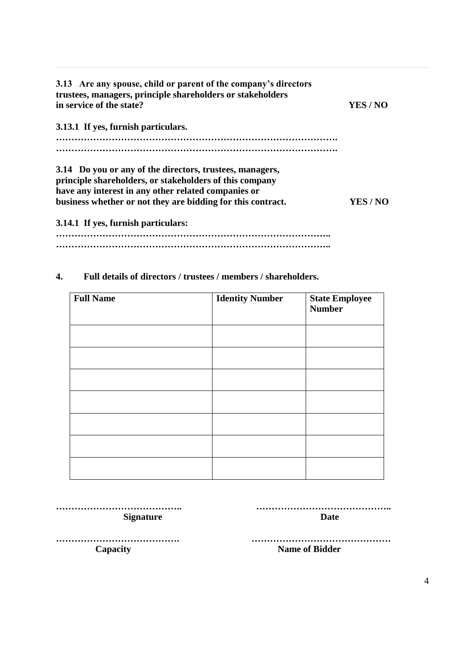| 3.13 Are any spouse, child or parent of the company's directors<br>trustees, managers, principle shareholders or stakeholders<br>in service of the state? | YES / NO |
|-----------------------------------------------------------------------------------------------------------------------------------------------------------|----------|
| 3.13.1 If yes, furnish particulars.                                                                                                                       |          |
|                                                                                                                                                           |          |
| 3.14 Do you or any of the directors, trustees, managers,                                                                                                  |          |
| principle shareholders, or stakeholders of this company                                                                                                   |          |
| have any interest in any other related companies or                                                                                                       |          |
| business whether or not they are bidding for this contract.                                                                                               | YES/NO   |
| 3.14.1 If yes, furnish particulars:                                                                                                                       |          |

**…………………………………………………………………………….. ……………………………………………………………………………..**

#### **4. Full details of directors / trustees / members / shareholders.**

| <b>Full Name</b> | <b>Identity Number</b> | <b>State Employee</b><br><b>Number</b> |
|------------------|------------------------|----------------------------------------|
|                  |                        |                                        |
|                  |                        |                                        |
|                  |                        |                                        |
|                  |                        |                                        |
|                  |                        |                                        |
|                  |                        |                                        |
|                  |                        |                                        |

**………………………………….. …………………………………….. Signature Date** 

**…………………………………. ……………………………………… Capacity Name of Bidder**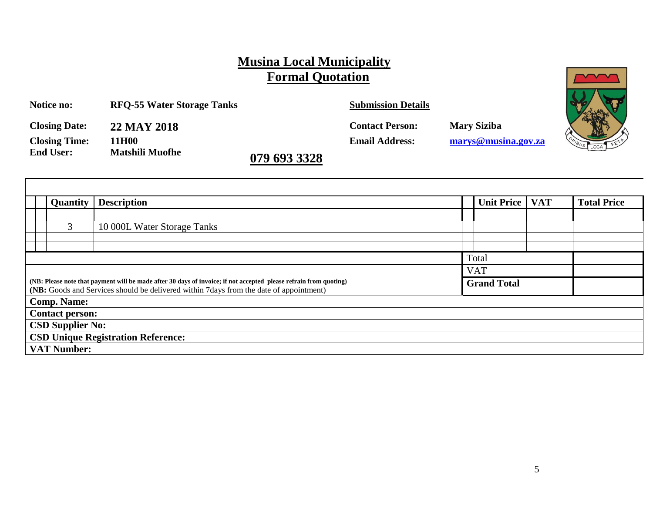### **Musina Local Municipality Formal Quotation**

| Notice no:           | <b>RFQ-55 Water Storage Tanks</b> |              | <b>Submission Details</b> |                     |  |
|----------------------|-----------------------------------|--------------|---------------------------|---------------------|--|
| <b>Closing Date:</b> | 22 MAY 2018                       |              | <b>Contact Person:</b>    | <b>Mary Siziba</b>  |  |
| <b>Closing Time:</b> | 11H00                             |              | <b>Email Address:</b>     | marys@musina.gov.za |  |
| <b>End User:</b>     | <b>Matshili Muofhe</b>            | 079 693 3328 |                           |                     |  |

|                                                                                                                                                                                                              | <b>Quantity</b>    | <b>Description</b>          |            | Unit Price | <b>VAT</b> | <b>Total Price</b> |
|--------------------------------------------------------------------------------------------------------------------------------------------------------------------------------------------------------------|--------------------|-----------------------------|------------|------------|------------|--------------------|
|                                                                                                                                                                                                              |                    |                             |            |            |            |                    |
|                                                                                                                                                                                                              | 3                  | 10 000L Water Storage Tanks |            |            |            |                    |
|                                                                                                                                                                                                              |                    |                             |            |            |            |                    |
|                                                                                                                                                                                                              |                    |                             |            | Total      |            |                    |
|                                                                                                                                                                                                              |                    |                             | <b>VAT</b> |            |            |                    |
| (NB: Please note that payment will be made after 30 days of invoice; if not accepted please refrain from quoting)<br>(NB: Goods and Services should be delivered within 7 days from the date of appointment) |                    | <b>Grand Total</b>          |            |            |            |                    |
| <b>Comp. Name:</b>                                                                                                                                                                                           |                    |                             |            |            |            |                    |
| <b>Contact person:</b>                                                                                                                                                                                       |                    |                             |            |            |            |                    |
| <b>CSD Supplier No:</b>                                                                                                                                                                                      |                    |                             |            |            |            |                    |
| <b>CSD Unique Registration Reference:</b>                                                                                                                                                                    |                    |                             |            |            |            |                    |
|                                                                                                                                                                                                              | <b>VAT Number:</b> |                             |            |            |            |                    |

 $\sqrt{2}$